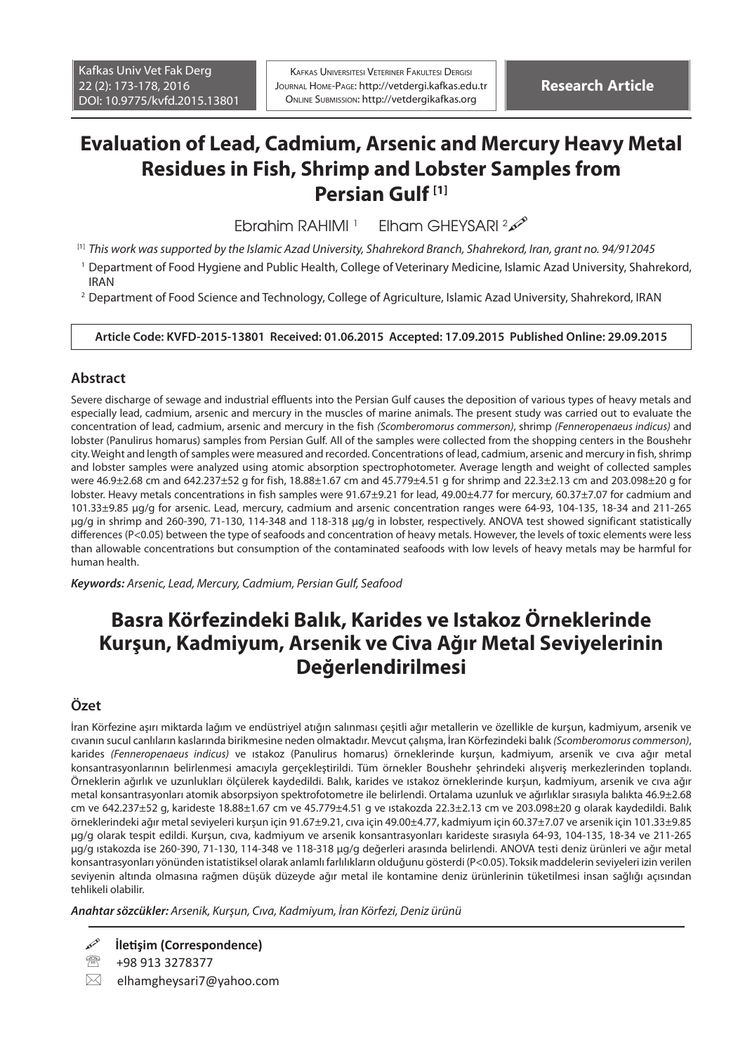# **Evaluation of Lead, Cadmium, Arsenic and Mercury Heavy Metal Residues in Fish, Shrimp and Lobster Samples from Persian Gulf [1]**

Ebrahim RAHIMI<sup>1</sup> Elham GHEYSARI<sup>2</sup>

[1] *This work was supported by the Islamic Azad University, Shahrekord Branch, Shahrekord, Iran, grant no. 94/912045*

- 1 Department of Food Hygiene and Public Health, College of Veterinary Medicine, Islamic Azad University, Shahrekord, IRAN
- 2 Department of Food Science and Technology, College of Agriculture, Islamic Azad University, Shahrekord, IRAN

#### **Article Code: KVFD-2015-13801 Received: 01.06.2015 Accepted: 17.09.2015 Published Online: 29.09.2015**

### **Abstract**

Severe discharge of sewage and industrial effluents into the Persian Gulf causes the deposition of various types of heavy metals and especially lead, cadmium, arsenic and mercury in the muscles of marine animals. The present study was carried out to evaluate the concentration of lead, cadmium, arsenic and mercury in the fish *(Scomberomorus commerson)*, shrimp *(Fenneropenaeus indicus)* and lobster (Panulirus homarus) samples from Persian Gulf. All of the samples were collected from the shopping centers in the Boushehr city. Weight and length of samples were measured and recorded. Concentrations of lead, cadmium, arsenic and mercury in fish, shrimp and lobster samples were analyzed using atomic absorption spectrophotometer. Average length and weight of collected samples were 46.9±2.68 cm and 642.237±52 g for fish, 18.88±1.67 cm and 45.779±4.51 g for shrimp and 22.3±2.13 cm and 203.098±20 g for lobster. Heavy metals concentrations in fish samples were 91.67±9.21 for lead, 49.00±4.77 for mercury, 60.37±7.07 for cadmium and 101.33±9.85 μg/g for arsenic. Lead, mercury, cadmium and arsenic concentration ranges were 64-93, 104-135, 18-34 and 211-265 μg/g in shrimp and 260-390, 71-130, 114-348 and 118-318 μg/g in lobster, respectively. ANOVA test showed significant statistically differences (P<0.05) between the type of seafoods and concentration of heavy metals. However, the levels of toxic elements were less than allowable concentrations but consumption of the contaminated seafoods with low levels of heavy metals may be harmful for human health.

*Keywords: Arsenic, Lead, Mercury, Cadmium, Persian Gulf, Seafood*

# **Basra Körfezindeki Balık, Karides ve Istakoz Örneklerinde Kurşun, Kadmiyum, Arsenik ve Civa Ağır Metal Seviyelerinin Değerlendirilmesi**

### **Özet**

İran Körfezine aşırı miktarda lağım ve endüstriyel atığın salınması çeşitli ağır metallerin ve özellikle de kurşun, kadmiyum, arsenik ve cıvanın sucul canlıların kaslarında birikmesine neden olmaktadır. Mevcut çalışma, İran Körfezindeki balık *(Scomberomorus commerson)*, karides *(Fenneropenaeus indicus)* ve ıstakoz (Panulirus homarus) örneklerinde kurşun, kadmiyum, arsenik ve cıva ağır metal konsantrasyonlarının belirlenmesi amacıyla gerçekleştirildi. Tüm örnekler Boushehr şehrindeki alışveriş merkezlerinden toplandı. Örneklerin ağırlık ve uzunlukları ölçülerek kaydedildi. Balık, karides ve ıstakoz örneklerinde kurşun, kadmiyum, arsenik ve cıva ağır metal konsantrasyonları atomik absorpsiyon spektrofotometre ile belirlendi. Ortalama uzunluk ve ağırlıklar sırasıyla balıkta 46.9±2.68 cm ve 642.237±52 g, karideste 18.88±1.67 cm ve 45.779±4.51 g ve ıstakozda 22.3±2.13 cm ve 203.098±20 g olarak kaydedildi. Balık örneklerindeki ağır metal seviyeleri kurşun için 91.67±9.21, cıva için 49.00±4.77, kadmiyum için 60.37±7.07 ve arsenik için 101.33±9.85 μg/g olarak tespit edildi. Kurşun, cıva, kadmiyum ve arsenik konsantrasyonları karideste sırasıyla 64-93, 104-135, 18-34 ve 211-265 μg/g ıstakozda ise 260-390, 71-130, 114-348 ve 118-318 μg/g değerleri arasında belirlendi. ANOVA testi deniz ürünleri ve ağır metal konsantrasyonları yönünden istatistiksel olarak anlamlı farlılıkların olduğunu gösterdi (P<0.05). Toksik maddelerin seviyeleri izin verilen seviyenin altında olmasına rağmen düşük düzeyde ağır metal ile kontamine deniz ürünlerinin tüketilmesi insan sağlığı açısından tehlikeli olabilir.

*Anahtar sözcükler: Arsenik, Kurşun, Cıva, Kadmiyum, İran Körfezi, Deniz ürünü*

**İletişim (Correspondence)**

<sup>&</sup>lt;sup>2</sup> +98 913 3278377

 $\boxtimes$  elhamgheysari7@yahoo.com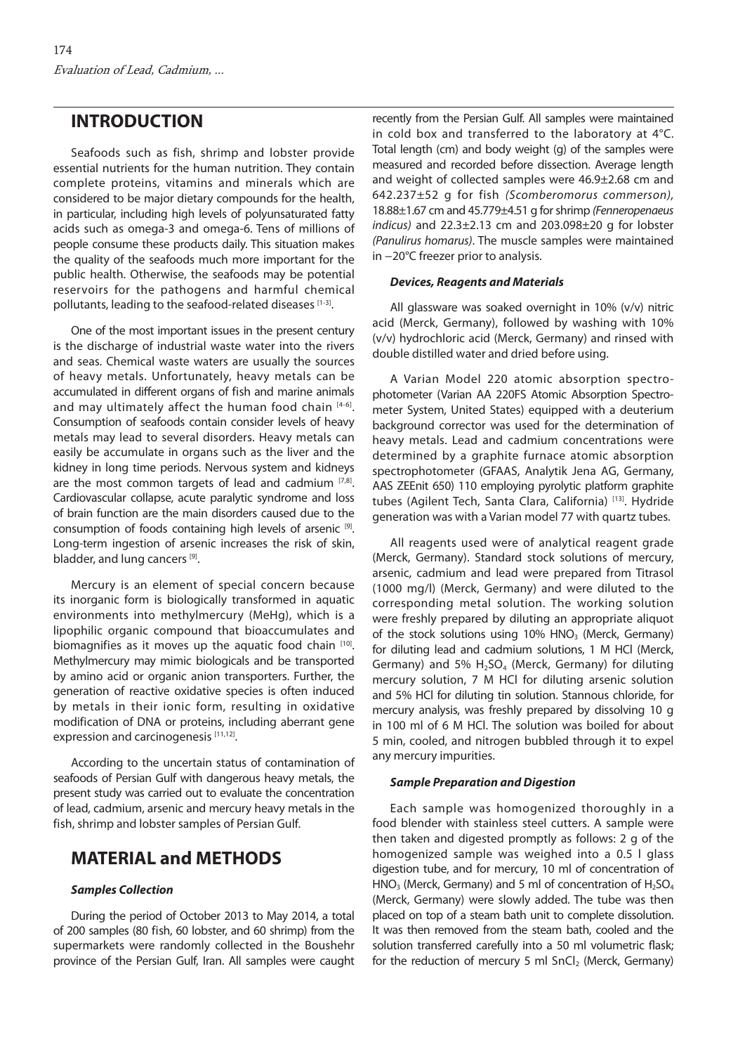## **INTRODUCTION**

Seafoods such as fish, shrimp and lobster provide essential nutrients for the human nutrition. They contain complete proteins, vitamins and minerals which are considered to be major dietary compounds for the health, in particular, including high levels of polyunsaturated fatty acids such as omega-3 and omega-6. Tens of millions of people consume these products daily. This situation makes the quality of the seafoods much more important for the public health. Otherwise, the seafoods may be potential reservoirs for the pathogens and harmful chemical pollutants, leading to the seafood-related diseases [1-3].

One of the most important issues in the present century is the discharge of industrial waste water into the rivers and seas. Chemical waste waters are usually the sources of heavy metals. Unfortunately, heavy metals can be accumulated in different organs of fish and marine animals and may ultimately affect the human food chain  $[4-6]$ . Consumption of seafoods contain consider levels of heavy metals may lead to several disorders. Heavy metals can easily be accumulate in organs such as the liver and the kidney in long time periods. Nervous system and kidneys are the most common targets of lead and cadmium  $[7,8]$ . Cardiovascular collapse, acute paralytic syndrome and loss of brain function are the main disorders caused due to the consumption of foods containing high levels of arsenic [9]. Long-term ingestion of arsenic increases the risk of skin, bladder, and lung cancers [9].

Mercury is an element of special concern because its inorganic form is biologically transformed in aquatic environments into methylmercury (MeHg), which is a lipophilic organic compound that bioaccumulates and biomagnifies as it moves up the aquatic food chain  $[10]$ . Methylmercury may mimic biologicals and be transported by amino acid or organic anion transporters. Further, the generation of reactive oxidative species is often induced by metals in their ionic form, resulting in oxidative modification of DNA or proteins, including aberrant gene expression and carcinogenesis [11,12].

According to the uncertain status of contamination of seafoods of Persian Gulf with dangerous heavy metals, the present study was carried out to evaluate the concentration of lead, cadmium, arsenic and mercury heavy metals in the fish, shrimp and lobster samples of Persian Gulf.

## **MATERIAL and METHODS**

#### *Samples Collection*

During the period of October 2013 to May 2014, a total of 200 samples (80 fish, 60 lobster, and 60 shrimp) from the supermarkets were randomly collected in the Boushehr province of the Persian Gulf, Iran. All samples were caught

recently from the Persian Gulf. All samples were maintained in cold box and transferred to the laboratory at 4°C. Total length (cm) and body weight (g) of the samples were measured and recorded before dissection. Average length and weight of collected samples were 46.9±2.68 cm and 642.237±52 g for fish *(Scomberomorus commerson),* 18.88±1.67 cm and 45.779±4.51 g for shrimp *(Fenneropenaeus indicus)* and 22.3±2.13 cm and 203.098±20 g for lobster *(Panulirus homarus)*. The muscle samples were maintained in −20°C freezer prior to analysis.

#### *Devices, Reagents and Materials*

All glassware was soaked overnight in 10% (v/v) nitric acid (Merck, Germany), followed by washing with 10% (v/v) hydrochloric acid (Merck, Germany) and rinsed with double distilled water and dried before using.

A Varian Model 220 atomic absorption spectrophotometer (Varian AA 220FS Atomic Absorption Spectrometer System, United States) equipped with a deuterium background corrector was used for the determination of heavy metals. Lead and cadmium concentrations were determined by a graphite furnace atomic absorption spectrophotometer (GFAAS, Analytik Jena AG, Germany, AAS ZEEnit 650) 110 employing pyrolytic platform graphite tubes (Agilent Tech, Santa Clara, California) [13]. Hydride generation was with a Varian model 77 with quartz tubes.

All reagents used were of analytical reagent grade (Merck, Germany). Standard stock solutions of mercury, arsenic, cadmium and lead were prepared from Titrasol (1000 mg/l) (Merck, Germany) and were diluted to the corresponding metal solution. The working solution were freshly prepared by diluting an appropriate aliquot of the stock solutions using  $10\%$  HNO<sub>3</sub> (Merck, Germany) for diluting lead and cadmium solutions, 1 M HCl (Merck, Germany) and 5%  $H_2SO_4$  (Merck, Germany) for diluting mercury solution, 7 M HCl for diluting arsenic solution and 5% HCl for diluting tin solution. Stannous chloride, for mercury analysis, was freshly prepared by dissolving 10 g in 100 ml of 6 M HCl. The solution was boiled for about 5 min, cooled, and nitrogen bubbled through it to expel any mercury impurities.

#### *Sample Preparation and Digestion*

Each sample was homogenized thoroughly in a food blender with stainless steel cutters. A sample were then taken and digested promptly as follows: 2 g of the homogenized sample was weighed into a 0.5 l glass digestion tube, and for mercury, 10 ml of concentration of HNO<sub>3</sub> (Merck, Germany) and 5 ml of concentration of  $H_2SO_4$ (Merck, Germany) were slowly added. The tube was then placed on top of a steam bath unit to complete dissolution. It was then removed from the steam bath, cooled and the solution transferred carefully into a 50 ml volumetric flask; for the reduction of mercury 5 ml  $SnCl<sub>2</sub>$  (Merck, Germany)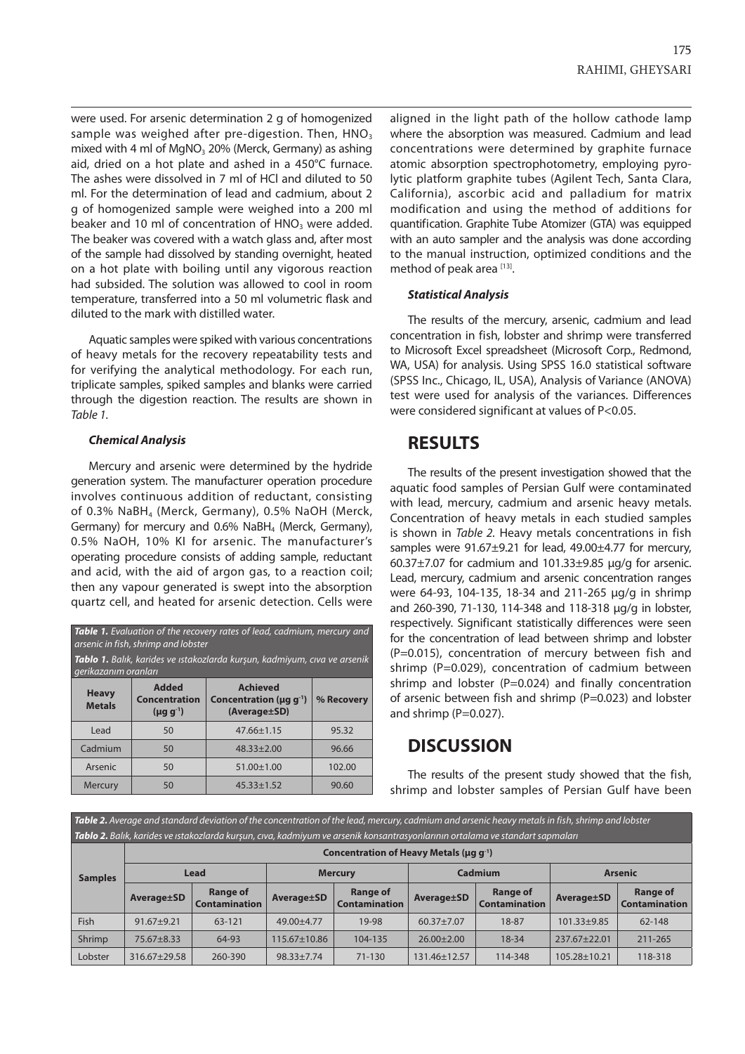were used. For arsenic determination 2 g of homogenized sample was weighed after pre-digestion. Then,  $HNO<sub>3</sub>$ mixed with 4 ml of  $MqNO<sub>3</sub>$  20% (Merck, Germany) as ashing aid, dried on a hot plate and ashed in a 450°C furnace. The ashes were dissolved in 7 ml of HCl and diluted to 50 ml. For the determination of lead and cadmium, about 2 g of homogenized sample were weighed into a 200 ml beaker and 10 ml of concentration of  $HNO<sub>3</sub>$  were added. The beaker was covered with a watch glass and, after most of the sample had dissolved by standing overnight, heated on a hot plate with boiling until any vigorous reaction had subsided. The solution was allowed to cool in room temperature, transferred into a 50 ml volumetric flask and diluted to the mark with distilled water.

Aquatic samples were spiked with various concentrations of heavy metals for the recovery repeatability tests and for verifying the analytical methodology. For each run, triplicate samples, spiked samples and blanks were carried through the digestion reaction. The results are shown in *Table 1.*

#### *Chemical Analysis*

Mercury and arsenic were determined by the hydride generation system. The manufacturer operation procedure involves continuous addition of reductant, consisting of 0.3% NaBH4 (Merck, Germany), 0.5% NaOH (Merck, Germany) for mercury and 0.6% NaBH<sub>4</sub> (Merck, Germany), 0.5% NaOH, 10% KI for arsenic. The manufacturer's operating procedure consists of adding sample, reductant and acid, with the aid of argon gas, to a reaction coil; then any vapour generated is swept into the absorption quartz cell, and heated for arsenic detection. Cells were

| <b>Table 1.</b> Evaluation of the recovery rates of lead, cadmium, mercury and<br>arsenic in fish, shrimp and lobster |                                                          |                                                                              |            |  |  |  |  |  |  |
|-----------------------------------------------------------------------------------------------------------------------|----------------------------------------------------------|------------------------------------------------------------------------------|------------|--|--|--|--|--|--|
| Tablo 1. Balık, karides ve ıstakozlarda kurşun, kadmiyum, cıva ve arsenik<br>gerikazanım oranları                     |                                                          |                                                                              |            |  |  |  |  |  |  |
| <b>Heavy</b><br><b>Metals</b>                                                                                         | <b>Added</b><br><b>Concentration</b><br>$(\mu g g^{-1})$ | <b>Achieved</b><br>Concentration ( $\mu$ g g <sup>-1</sup> )<br>(Average±SD) | % Recovery |  |  |  |  |  |  |
| Lead                                                                                                                  | 50                                                       | $47.66 \pm 1.15$                                                             | 95.32      |  |  |  |  |  |  |
| Cadmium                                                                                                               | 50                                                       | $48.33 \pm 2.00$                                                             | 96.66      |  |  |  |  |  |  |
| Arsenic                                                                                                               | 50                                                       | $51.00 \pm 1.00$                                                             | 102.00     |  |  |  |  |  |  |
| Mercury                                                                                                               | 50                                                       | $45.33 \pm 1.52$                                                             | 90.60      |  |  |  |  |  |  |

aligned in the light path of the hollow cathode lamp where the absorption was measured. Cadmium and lead concentrations were determined by graphite furnace atomic absorption spectrophotometry, employing pyrolytic platform graphite tubes (Agilent Tech, Santa Clara, California), ascorbic acid and palladium for matrix modification and using the method of additions for quantification. Graphite Tube Atomizer (GTA) was equipped with an auto sampler and the analysis was done according to the manual instruction, optimized conditions and the method of peak area [13].

#### *Statistical Analysis*

The results of the mercury, arsenic, cadmium and lead concentration in fish, lobster and shrimp were transferred to Microsoft Excel spreadsheet (Microsoft Corp., Redmond, WA, USA) for analysis. Using SPSS 16.0 statistical software (SPSS Inc., Chicago, IL, USA), Analysis of Variance (ANOVA) test were used for analysis of the variances. Differences were considered significant at values of P<0.05.

## **RESULTS**

The results of the present investigation showed that the aquatic food samples of Persian Gulf were contaminated with lead, mercury, cadmium and arsenic heavy metals. Concentration of heavy metals in each studied samples is shown in *Table 2.* Heavy metals concentrations in fish samples were 91.67±9.21 for lead, 49.00±4.77 for mercury, 60.37±7.07 for cadmium and 101.33±9.85 μg/g for arsenic. Lead, mercury, cadmium and arsenic concentration ranges were 64-93, 104-135, 18-34 and 211-265 μg/g in shrimp and 260-390, 71-130, 114-348 and 118-318 μg/g in lobster, respectively. Significant statistically differences were seen for the concentration of lead between shrimp and lobster (P=0.015), concentration of mercury between fish and shrimp (P=0.029), concentration of cadmium between shrimp and lobster ( $P=0.024$ ) and finally concentration of arsenic between fish and shrimp (P=0.023) and lobster and shrimp (P=0.027).

### **DISCUSSION**

The results of the present study showed that the fish, shrimp and lobster samples of Persian Gulf have been

*Table 2. Average and standard deviation of the concentration of the lead, mercury, cadmium and arsenic heavy metals in fish, shrimp and lobster Tablo 2. Balık, karides ve ıstakozlarda kurşun, cıva, kadmiyum ve arsenik konsantrasyonlarının ortalama ve standart sapmaları*

| <b>Samples</b> | Concentration of Heavy Metals ( $\mu$ q q <sup>-1</sup> ) |                                         |                    |                                         |                  |                                  |                    |                                         |  |  |
|----------------|-----------------------------------------------------------|-----------------------------------------|--------------------|-----------------------------------------|------------------|----------------------------------|--------------------|-----------------------------------------|--|--|
|                | Lead                                                      |                                         | <b>Mercury</b>     |                                         | Cadmium          |                                  | <b>Arsenic</b>     |                                         |  |  |
|                | Average ±SD                                               | <b>Range of</b><br><b>Contamination</b> | Average ±SD        | <b>Range of</b><br><b>Contamination</b> | Average ±SD      | Range of<br><b>Contamination</b> | Average ±SD        | <b>Range of</b><br><b>Contamination</b> |  |  |
| <b>Fish</b>    | $91.67 + 9.21$                                            | 63-121                                  | $49.00 + 4.77$     | 19-98                                   | $60.37 \pm 7.07$ | 18-87                            | $101.33 \pm 9.85$  | 62-148                                  |  |  |
| Shrimp         | $75.67 \pm 8.33$                                          | 64-93                                   | $115.67 \pm 10.86$ | 104-135                                 | $26.00 \pm 2.00$ | 18-34                            | $237.67 + 22.01$   | 211-265                                 |  |  |
| Lobster        | 316.67±29.58                                              | 260-390                                 | $98.33 + 7.74$     | $71 - 130$                              | 131.46±12.57     | 114-348                          | $105.28 \pm 10.21$ | 118-318                                 |  |  |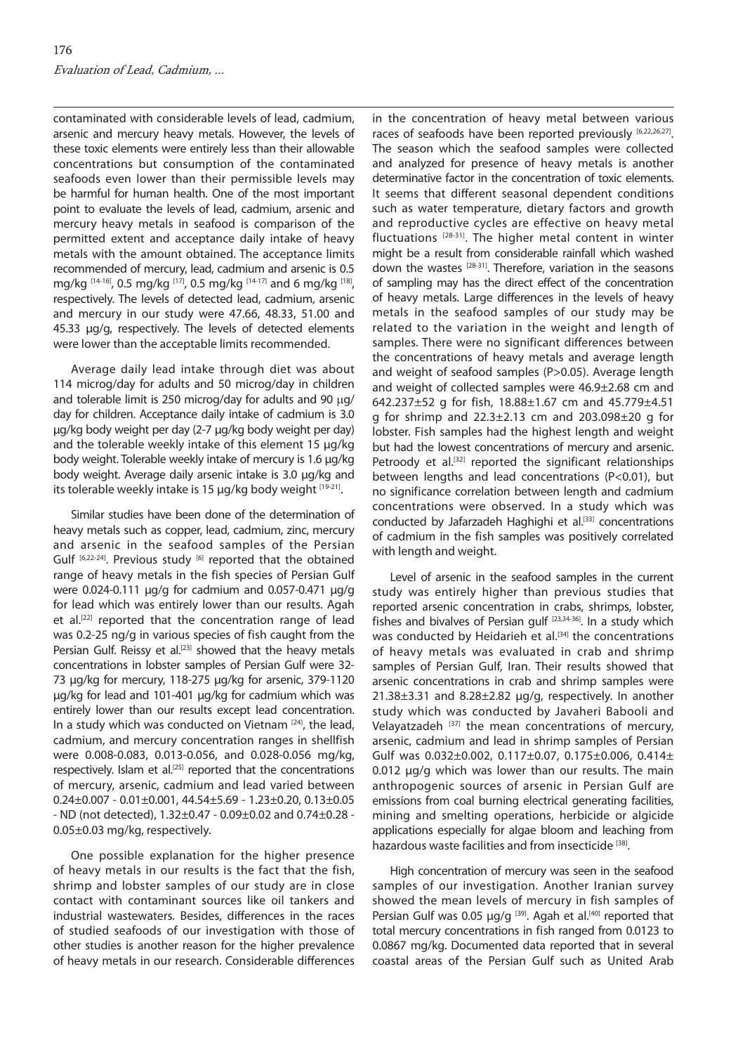contaminated with considerable levels of lead, cadmium, arsenic and mercury heavy metals. However, the levels of these toxic elements were entirely less than their allowable concentrations but consumption of the contaminated seafoods even lower than their permissible levels may be harmful for human health. One of the most important point to evaluate the levels of lead, cadmium, arsenic and mercury heavy metals in seafood is comparison of the permitted extent and acceptance daily intake of heavy metals with the amount obtained. The acceptance limits recommended of mercury, lead, cadmium and arsenic is 0.5 mg/kg  $^{[14\text{-}16]}$ , 0.5 mg/kg  $^{[17]}$ , 0.5 mg/kg  $^{[14\text{-}17]}$  and 6 mg/kg  $^{[18]}$ , respectively. The levels of detected lead, cadmium, arsenic and mercury in our study were 47.66, 48.33, 51.00 and 45.33 µg/g, respectively. The levels of detected elements were lower than the acceptable limits recommended.

Average daily lead intake through diet was about 114 microg/day for adults and 50 microg/day in children and tolerable limit is 250 microg/day for adults and 90  $\mu$ g/ day for children. Acceptance daily intake of cadmium is 3.0 µg/kg body weight per day (2-7 µg/kg body weight per day) and the tolerable weekly intake of this element 15 µg/kg body weight. Tolerable weekly intake of mercury is 1.6 µg/kg body weight. Average daily arsenic intake is 3.0 µg/kg and its tolerable weekly intake is 15  $\mu$ g/kg body weight [19-21].

Similar studies have been done of the determination of heavy metals such as copper, lead, cadmium, zinc, mercury and arsenic in the seafood samples of the Persian Gulf [6,22-24]. Previous study [6] reported that the obtained range of heavy metals in the fish species of Persian Gulf were 0.024-0.111 μg/g for cadmium and 0.057-0.471 μg/g for lead which was entirely lower than our results. Agah et al.<sup>[22]</sup> reported that the concentration range of lead was 0.2-25 ng/g in various species of fish caught from the Persian Gulf. Reissy et al.<sup>[23]</sup> showed that the heavy metals concentrations in lobster samples of Persian Gulf were 32- 73 μg/kg for mercury, 118-275 μg/kg for arsenic, 379-1120 μg/kg for lead and 101-401 μg/kg for cadmium which was entirely lower than our results except lead concentration. In a study which was conducted on Vietnam  $[24]$ , the lead, cadmium, and mercury concentration ranges in shellfish were 0.008-0.083, 0.013-0.056, and 0.028-0.056 mg/kg, respectively. Islam et al.<sup>[25]</sup> reported that the concentrations of mercury, arsenic, cadmium and lead varied between 0.24±0.007 - 0.01±0.001, 44.54±5.69 - 1.23±0.20, 0.13±0.05 - ND (not detected), 1.32±0.47 - 0.09±0.02 and 0.74±0.28 - 0.05±0.03 mg/kg, respectively.

One possible explanation for the higher presence of heavy metals in our results is the fact that the fish, shrimp and lobster samples of our study are in close contact with contaminant sources like oil tankers and industrial wastewaters. Besides, differences in the races of studied seafoods of our investigation with those of other studies is another reason for the higher prevalence of heavy metals in our research. Considerable differences

in the concentration of heavy metal between various races of seafoods have been reported previously [6,22,26,27]. The season which the seafood samples were collected and analyzed for presence of heavy metals is another determinative factor in the concentration of toxic elements. It seems that different seasonal dependent conditions such as water temperature, dietary factors and growth and reproductive cycles are effective on heavy metal fluctuations  $[28-31]$ . The higher metal content in winter might be a result from considerable rainfall which washed down the wastes [28-31]. Therefore, variation in the seasons of sampling may has the direct effect of the concentration of heavy metals. Large differences in the levels of heavy metals in the seafood samples of our study may be related to the variation in the weight and length of samples. There were no significant differences between the concentrations of heavy metals and average length and weight of seafood samples (P>0.05). Average length and weight of collected samples were 46.9±2.68 cm and 642.237±52 g for fish, 18.88±1.67 cm and 45.779±4.51 g for shrimp and 22.3±2.13 cm and 203.098±20 g for lobster. Fish samples had the highest length and weight but had the lowest concentrations of mercury and arsenic. Petroody et al.<sup>[32]</sup> reported the significant relationships between lengths and lead concentrations (P<0.01), but no significance correlation between length and cadmium concentrations were observed. In a study which was conducted by Jafarzadeh Haghighi et al.<sup>[33]</sup> concentrations of cadmium in the fish samples was positively correlated with length and weight.

Level of arsenic in the seafood samples in the current study was entirely higher than previous studies that reported arsenic concentration in crabs, shrimps, lobster, fishes and bivalves of Persian gulf  $^{[23,34-36]}$ . In a study which was conducted by Heidarieh et al.<sup>[34]</sup> the concentrations of heavy metals was evaluated in crab and shrimp samples of Persian Gulf, Iran. Their results showed that arsenic concentrations in crab and shrimp samples were 21.38±3.31 and 8.28±2.82 μg/g, respectively. In another study which was conducted by Javaheri Babooli and Velayatzadeh <a>[37]</a> the mean concentrations of mercury, arsenic, cadmium and lead in shrimp samples of Persian Gulf was 0.032±0.002, 0.117±0.07, 0.175±0.006, 0.414± 0.012 µg/g which was lower than our results. The main anthropogenic sources of arsenic in Persian Gulf are emissions from coal burning electrical generating facilities, mining and smelting operations, herbicide or algicide applications especially for algae bloom and leaching from hazardous waste facilities and from insecticide [38].

High concentration of mercury was seen in the seafood samples of our investigation. Another Iranian survey showed the mean levels of mercury in fish samples of Persian Gulf was 0.05  $\mu q/q$ <sup>[39]</sup>. Agah et al.<sup>[40]</sup> reported that total mercury concentrations in fish ranged from 0.0123 to 0.0867 mg/kg. Documented data reported that in several coastal areas of the Persian Gulf such as United Arab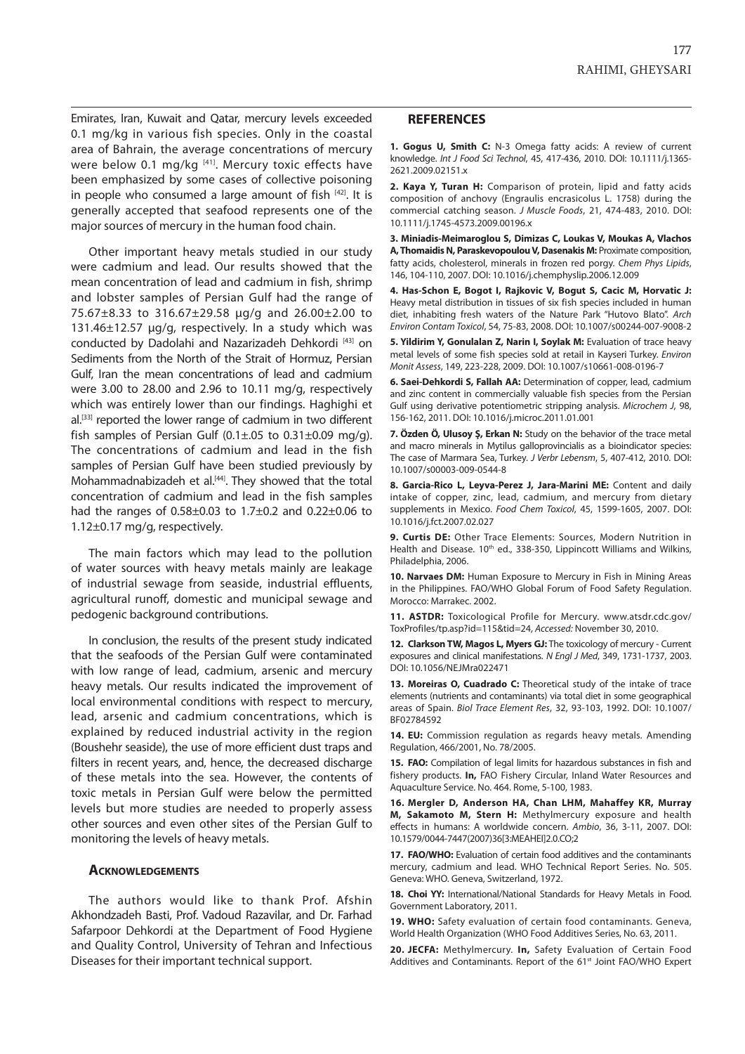Emirates, Iran, Kuwait and Qatar, mercury levels exceeded 0.1 mg/kg in various fish species. Only in the coastal area of Bahrain, the average concentrations of mercury were below 0.1 mg/kg [41]. Mercury toxic effects have been emphasized by some cases of collective poisoning in people who consumed a large amount of fish  $[42]$ . It is generally accepted that seafood represents one of the major sources of mercury in the human food chain.

Other important heavy metals studied in our study were cadmium and lead. Our results showed that the mean concentration of lead and cadmium in fish, shrimp and lobster samples of Persian Gulf had the range of 75.67±8.33 to 316.67±29.58 µg/g and 26.00±2.00 to 131.46±12.57 µg/g, respectively. In a study which was conducted by Dadolahi and Nazarizadeh Dehkordi [43] on Sediments from the North of the Strait of Hormuz, Persian Gulf, Iran the mean concentrations of lead and cadmium were 3.00 to 28.00 and 2.96 to 10.11 mg/g, respectively which was entirely lower than our findings. Haghighi et al.<sup>[33]</sup> reported the lower range of cadmium in two different fish samples of Persian Gulf  $(0.1 \pm .05$  to  $0.31 \pm 0.09$  mg/g). The concentrations of cadmium and lead in the fish samples of Persian Gulf have been studied previously by Mohammadnabizadeh et al.<sup>[44]</sup>. They showed that the total concentration of cadmium and lead in the fish samples had the ranges of 0.58±0.03 to 1.7±0.2 and 0.22±0.06 to 1.12±0.17 mg/g, respectively.

The main factors which may lead to the pollution of water sources with heavy metals mainly are leakage of industrial sewage from seaside, industrial effluents, agricultural runoff, domestic and municipal sewage and pedogenic background contributions.

In conclusion, the results of the present study indicated that the seafoods of the Persian Gulf were contaminated with low range of lead, cadmium, arsenic and mercury heavy metals. Our results indicated the improvement of local environmental conditions with respect to mercury, lead, arsenic and cadmium concentrations, which is explained by reduced industrial activity in the region (Boushehr seaside), the use of more efficient dust traps and filters in recent years, and, hence, the decreased discharge of these metals into the sea. However, the contents of toxic metals in Persian Gulf were below the permitted levels but more studies are needed to properly assess other sources and even other sites of the Persian Gulf to monitoring the levels of heavy metals.

#### **Acknowledgements**

The authors would like to thank Prof. Afshin Akhondzadeh Basti, Prof. Vadoud Razavilar, and Dr. Farhad Safarpoor Dehkordi at the Department of Food Hygiene and Quality Control, University of Tehran and Infectious Diseases for their important technical support.

#### **REFERENCES**

**1. Gogus U, Smith C:** N-3 Omega fatty acids: A review of current knowledge. *Int J Food Sci Technol*, 45, 417-436, 2010. DOI: 10.1111/j.1365- 2621.2009.02151.x

**2. Kaya Y, Turan H:** Comparison of protein, lipid and fatty acids composition of anchovy (Engraulis encrasicolus L. 1758) during the commercial catching season. *J Muscle Foods*, 21, 474-483, 2010. DOI: 10.1111/j.1745-4573.2009.00196.x

**3. Miniadis-Meimaroglou S, Dimizas C, Loukas V, Moukas A, Vlachos A, Thomaidis N, Paraskevopoulou V, Dasenakis M:** Proximate composition, fatty acids, cholesterol, minerals in frozen red porgy. *Chem Phys Lipids*, 146, 104-110, 2007. DOI: 10.1016/j.chemphyslip.2006.12.009

**4. Has-Schon E, Bogot I, Rajkovic V, Bogut S, Cacic M, Horvatic J:** Heavy metal distribution in tissues of six fish species included in human diet, inhabiting fresh waters of the Nature Park "Hutovo Blato". *Arch Environ Contam Toxicol*, 54, 75-83, 2008. DOI: 10.1007/s00244-007-9008-2

**5. Yildirim Y, Gonulalan Z, Narin I, Soylak M:** Evaluation of trace heavy metal levels of some fish species sold at retail in Kayseri Turkey. *Environ Monit Assess*, 149, 223-228, 2009. DOI: 10.1007/s10661-008-0196-7

**6. Saei-Dehkordi S, Fallah AA:** Determination of copper, lead, cadmium and zinc content in commercially valuable fish species from the Persian Gulf using derivative potentiometric stripping analysis. *Microchem J*, 98, 156-162, 2011. DOI: 10.1016/j.microc.2011.01.001

**7. Özden Ö, Ulusoy Ş, Erkan N:** Study on the behavior of the trace metal and macro minerals in Mytilus galloprovincialis as a bioindicator species: The case of Marmara Sea, Turkey. *J Verbr Lebensm*, 5, 407-412, 2010. DOI: 10.1007/s00003-009-0544-8

**8. Garcia-Rico L, Leyva-Perez J, Jara-Marini ME:** Content and daily intake of copper, zinc, lead, cadmium, and mercury from dietary supplements in Mexico. *Food Chem Toxicol*, 45, 1599-1605, 2007. DOI: 10.1016/j.fct.2007.02.027

**9. Curtis DE:** Other Trace Elements: Sources, Modern Nutrition in Health and Disease. 10<sup>th</sup> ed., 338-350, Lippincott Williams and Wilkins, Philadelphia, 2006.

**10. Narvaes DM:** Human Exposure to Mercury in Fish in Mining Areas in the Philippines. FAO/WHO Global Forum of Food Safety Regulation. Morocco: Marrakec. 2002.

**11. ASTDR:** Toxicological Profile for Mercury. www.atsdr.cdc.gov/ ToxProfiles/tp.asp?id=115&tid=24, *Accessed:* November 30, 2010.

**12. Clarkson TW, Magos L, Myers GJ:** The toxicology of mercury - Current exposures and clinical manifestations. *N Engl J Med*, 349, 1731-1737, 2003. DOI: 10.1056/NEJMra022471

**13. Moreiras O, Cuadrado C:** Theoretical study of the intake of trace elements (nutrients and contaminants) via total diet in some geographical areas of Spain. *Biol Trace Element Res*, 32, 93-103, 1992. DOI: 10.1007/ BF02784592

**14. EU:** Commission regulation as regards heavy metals. Amending Regulation, 466/2001, No. 78/2005.

**15. FAO:** Compilation of legal limits for hazardous substances in fish and fishery products. **In,** FAO Fishery Circular, Inland Water Resources and Aquaculture Service. No. 464. Rome, 5-100, 1983.

**16. Mergler D, Anderson HA, Chan LHM, Mahaffey KR, Murray M, Sakamoto M, Stern H:** Methylmercury exposure and health effects in humans: A worldwide concern. *Ambio*, 36, 3-11, 2007. DOI: 10.1579/0044-7447(2007)36[3:MEAHEI]2.0.CO;2

**17. FAO/WHO:** Evaluation of certain food additives and the contaminants mercury, cadmium and lead. WHO Technical Report Series. No. 505. Geneva: WHO. Geneva, Switzerland, 1972.

**18. Choi YY:** International/National Standards for Heavy Metals in Food. Government Laboratory, 2011.

**19. WHO:** Safety evaluation of certain food contaminants. Geneva, World Health Organization (WHO Food Additives Series, No. 63, 2011.

**20. JECFA:** Methylmercury. **In,** Safety Evaluation of Certain Food Additives and Contaminants. Report of the 61<sup>st</sup> Joint FAO/WHO Expert